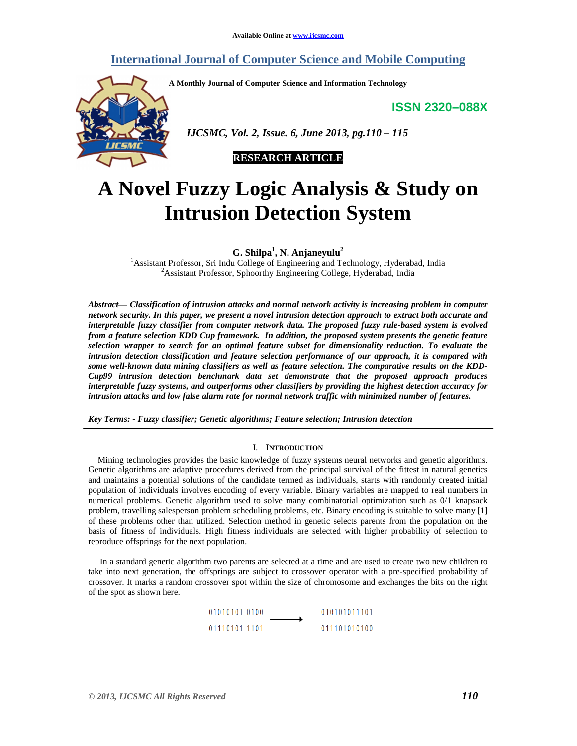### **International Journal of Computer Science and Mobile Computing**

**A Monthly Journal of Computer Science and Information Technology** 

**ISSN 2320–088X**



 *IJCSMC, Vol. 2, Issue. 6, June 2013, pg.110 – 115* 



# **A Novel Fuzzy Logic Analysis & Study on Intrusion Detection System**

**G. Shilpa<sup>1</sup> , N. Anjaneyulu<sup>2</sup>**

<sup>1</sup>Assistant Professor, Sri Indu College of Engineering and Technology, Hyderabad, India <sup>2</sup>Assistant Professor, Sphoorthy Engineering College, Hyderabad, India

*Abstract— Classification of intrusion attacks and normal network activity is increasing problem in computer network security. In this paper, we present a novel intrusion detection approach to extract both accurate and interpretable fuzzy classifier from computer network data. The proposed fuzzy rule-based system is evolved from a feature selection KDD Cup framework. In addition, the proposed system presents the genetic feature selection wrapper to search for an optimal feature subset for dimensionality reduction. To evaluate the intrusion detection classification and feature selection performance of our approach, it is compared with some well-known data mining classifiers as well as feature selection. The comparative results on the KDD-Cup99 intrusion detection benchmark data set demonstrate that the proposed approach produces interpretable fuzzy systems, and outperforms other classifiers by providing the highest detection accuracy for intrusion attacks and low false alarm rate for normal network traffic with minimized number of features.* 

*Key Terms: - Fuzzy classifier; Genetic algorithms; Feature selection; Intrusion detection* 

#### I. **INTRODUCTION**

Mining technologies provides the basic knowledge of fuzzy systems neural networks and genetic algorithms. Genetic algorithms are adaptive procedures derived from the principal survival of the fittest in natural genetics and maintains a potential solutions of the candidate termed as individuals, starts with randomly created initial population of individuals involves encoding of every variable. Binary variables are mapped to real numbers in numerical problems. Genetic algorithm used to solve many combinatorial optimization such as 0/1 knapsack problem, travelling salesperson problem scheduling problems, etc. Binary encoding is suitable to solve many [1] of these problems other than utilized. Selection method in genetic selects parents from the population on the basis of fitness of individuals. High fitness individuals are selected with higher probability of selection to reproduce offsprings for the next population.

 In a standard genetic algorithm two parents are selected at a time and are used to create two new children to take into next generation, the offsprings are subject to crossover operator with a pre-specified probability of crossover. It marks a random crossover spot within the size of chromosome and exchanges the bits on the right of the spot as shown here.

> $01010101$  0100<br>01110101 1101 010101011101 011101010100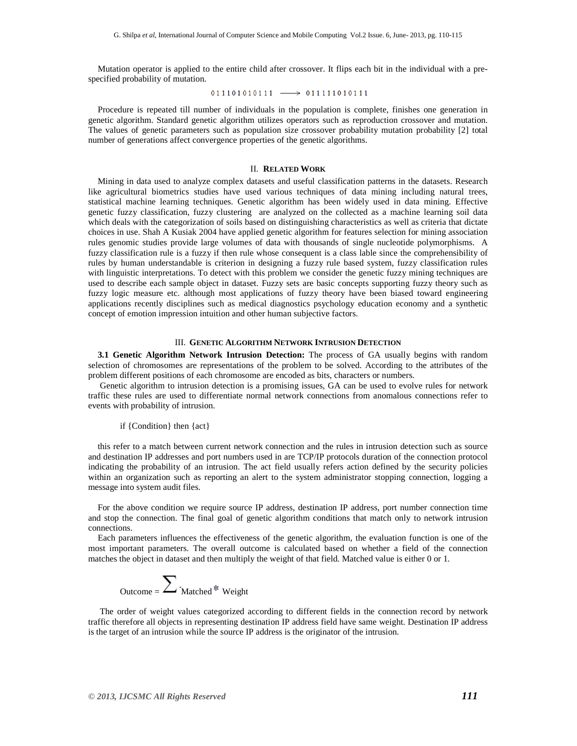Mutation operator is applied to the entire child after crossover. It flips each bit in the individual with a prespecified probability of mutation.

 $011101010111 \longrightarrow 011111010111$ 

Procedure is repeated till number of individuals in the population is complete, finishes one generation in genetic algorithm. Standard genetic algorithm utilizes operators such as reproduction crossover and mutation. The values of genetic parameters such as population size crossover probability mutation probability [2] total number of generations affect convergence properties of the genetic algorithms.

#### II. **RELATED WORK**

Mining in data used to analyze complex datasets and useful classification patterns in the datasets. Research like agricultural biometrics studies have used various techniques of data mining including natural trees, statistical machine learning techniques. Genetic algorithm has been widely used in data mining. Effective genetic fuzzy classification, fuzzy clustering are analyzed on the collected as a machine learning soil data which deals with the categorization of soils based on distinguishing characteristics as well as criteria that dictate choices in use. Shah A Kusiak 2004 have applied genetic algorithm for features selection for mining association rules genomic studies provide large volumes of data with thousands of single nucleotide polymorphisms. A fuzzy classification rule is a fuzzy if then rule whose consequent is a class lable since the comprehensibility of rules by human understandable is criterion in designing a fuzzy rule based system, fuzzy classification rules with linguistic interpretations. To detect with this problem we consider the genetic fuzzy mining techniques are used to describe each sample object in dataset. Fuzzy sets are basic concepts supporting fuzzy theory such as fuzzy logic measure etc. although most applications of fuzzy theory have been biased toward engineering applications recently disciplines such as medical diagnostics psychology education economy and a synthetic concept of emotion impression intuition and other human subjective factors.

#### III. **GENETIC ALGORITHM NETWORK INTRUSION DETECTION**

**3.1 Genetic Algorithm Network Intrusion Detection:** The process of GA usually begins with random selection of chromosomes are representations of the problem to be solved. According to the attributes of the problem different positions of each chromosome are encoded as bits, characters or numbers.

 Genetic algorithm to intrusion detection is a promising issues, GA can be used to evolve rules for network traffic these rules are used to differentiate normal network connections from anomalous connections refer to events with probability of intrusion.

#### if {Condition} then {act}

this refer to a match between current network connection and the rules in intrusion detection such as source and destination IP addresses and port numbers used in are TCP/IP protocols duration of the connection protocol indicating the probability of an intrusion. The act field usually refers action defined by the security policies within an organization such as reporting an alert to the system administrator stopping connection, logging a message into system audit files.

For the above condition we require source IP address, destination IP address, port number connection time and stop the connection. The final goal of genetic algorithm conditions that match only to network intrusion connections.

Each parameters influences the effectiveness of the genetic algorithm, the evaluation function is one of the most important parameters. The overall outcome is calculated based on whether a field of the connection matches the object in dataset and then multiply the weight of that field. Matched value is either 0 or 1.



 The order of weight values categorized according to different fields in the connection record by network traffic therefore all objects in representing destination IP address field have same weight. Destination IP address is the target of an intrusion while the source IP address is the originator of the intrusion.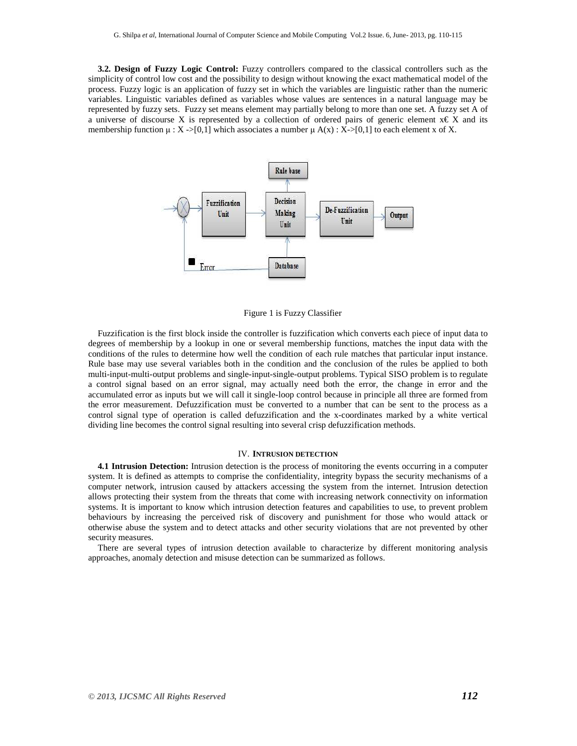**3.2. Design of Fuzzy Logic Control:** Fuzzy controllers compared to the classical controllers such as the simplicity of control low cost and the possibility to design without knowing the exact mathematical model of the process. Fuzzy logic is an application of fuzzy set in which the variables are linguistic rather than the numeric variables. Linguistic variables defined as variables whose values are sentences in a natural language may be represented by fuzzy sets. Fuzzy set means element may partially belong to more than one set. A fuzzy set A of a universe of discourse X is represented by a collection of ordered pairs of generic element  $x \in X$  and its membership function  $\mu$  : X ->[0,1] which associates a number  $\mu$  A(x) : X->[0,1] to each element x of X.



Figure 1 is Fuzzy Classifier

Fuzzification is the first block inside the controller is fuzzification which converts each piece of input data to degrees of membership by a lookup in one or several membership functions, matches the input data with the conditions of the rules to determine how well the condition of each rule matches that particular input instance. Rule base may use several variables both in the condition and the conclusion of the rules be applied to both multi-input-multi-output problems and single-input-single-output problems. Typical SISO problem is to regulate a control signal based on an error signal, may actually need both the error, the change in error and the accumulated error as inputs but we will call it single-loop control because in principle all three are formed from the error measurement. Defuzzification must be converted to a number that can be sent to the process as a control signal type of operation is called defuzzification and the x-coordinates marked by a white vertical dividing line becomes the control signal resulting into several crisp defuzzification methods.

#### IV. **INTRUSION DETECTION**

**4.1 Intrusion Detection:** Intrusion detection is the process of monitoring the events occurring in a computer system. It is defined as attempts to comprise the confidentiality, integrity bypass the security mechanisms of a computer network, intrusion caused by attackers accessing the system from the internet. Intrusion detection allows protecting their system from the threats that come with increasing network connectivity on information systems. It is important to know which intrusion detection features and capabilities to use, to prevent problem behaviours by increasing the perceived risk of discovery and punishment for those who would attack or otherwise abuse the system and to detect attacks and other security violations that are not prevented by other security measures.

There are several types of intrusion detection available to characterize by different monitoring analysis approaches, anomaly detection and misuse detection can be summarized as follows.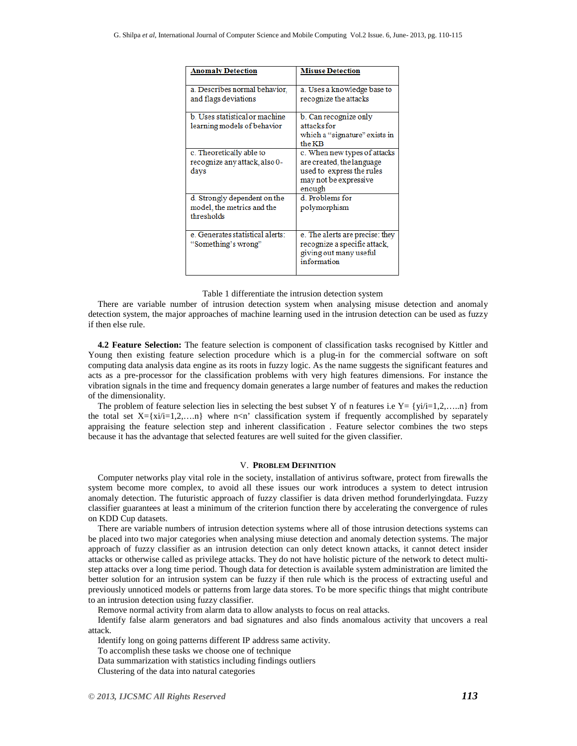| <b>Anomaly Detection</b>                                                 | <b>Misuse Detection</b>                                                                                                   |
|--------------------------------------------------------------------------|---------------------------------------------------------------------------------------------------------------------------|
| a. Describes normal behavior,<br>and flags deviations                    | a. Uses a knowledge base to<br>recognize the attacks                                                                      |
| b Uses statistical or machine<br>learning models of behavior             | b. Can recognize only<br>attacks for<br>which a "signature" exists in<br>the KB                                           |
| c. Theoretically able to<br>recognize any attack, also 0-<br>days        | c. When new types of attacks<br>are created, the language<br>used to express the rules<br>may not be expressive<br>enough |
| d. Strongly dependent on the<br>model, the metrics and the<br>thresholds | d. Problems for<br>polymorphism                                                                                           |
| e. Generates statistical alerts:<br>"Something's wrong"                  | e. The alerts are precise: they<br>recognize a specific attack,<br>giving out many useful<br>information                  |

Table 1 differentiate the intrusion detection system

There are variable number of intrusion detection system when analysing misuse detection and anomaly detection system, the major approaches of machine learning used in the intrusion detection can be used as fuzzy if then else rule.

**4.2 Feature Selection:** The feature selection is component of classification tasks recognised by Kittler and Young then existing feature selection procedure which is a plug-in for the commercial software on soft computing data analysis data engine as its roots in fuzzy logic. As the name suggests the significant features and acts as a pre-processor for the classification problems with very high features dimensions. For instance the vibration signals in the time and frequency domain generates a large number of features and makes the reduction of the dimensionality.

The problem of feature selection lies in selecting the best subset Y of n features i.e  $Y = \{yi/i = 1,2,....n\}$  from the total set  $X=[xi/iz]=1,2,...n$  where  $n\leq n'$  classification system if frequently accomplished by separately appraising the feature selection step and inherent classification . Feature selector combines the two steps because it has the advantage that selected features are well suited for the given classifier.

#### V. **PROBLEM DEFINITION**

Computer networks play vital role in the society, installation of antivirus software, protect from firewalls the system become more complex, to avoid all these issues our work introduces a system to detect intrusion anomaly detection. The futuristic approach of fuzzy classifier is data driven method forunderlyingdata. Fuzzy classifier guarantees at least a minimum of the criterion function there by accelerating the convergence of rules on KDD Cup datasets.

There are variable numbers of intrusion detection systems where all of those intrusion detections systems can be placed into two major categories when analysing miuse detection and anomaly detection systems. The major approach of fuzzy classifier as an intrusion detection can only detect known attacks, it cannot detect insider attacks or otherwise called as privilege attacks. They do not have holistic picture of the network to detect multistep attacks over a long time period. Though data for detection is available system administration are limited the better solution for an intrusion system can be fuzzy if then rule which is the process of extracting useful and previously unnoticed models or patterns from large data stores. To be more specific things that might contribute to an intrusion detection using fuzzy classifier.

Remove normal activity from alarm data to allow analysts to focus on real attacks.

Identify false alarm generators and bad signatures and also finds anomalous activity that uncovers a real attack.

Identify long on going patterns different IP address same activity. To accomplish these tasks we choose one of technique Data summarization with statistics including findings outliers Clustering of the data into natural categories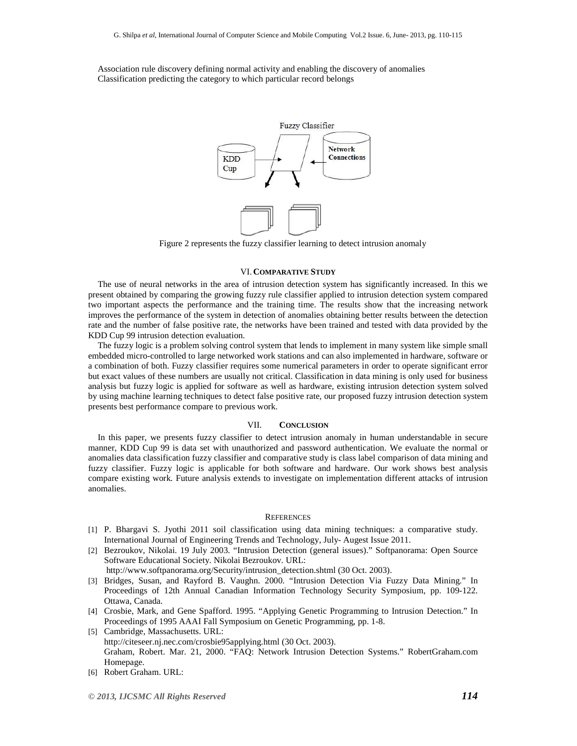Association rule discovery defining normal activity and enabling the discovery of anomalies Classification predicting the category to which particular record belongs



Figure 2 represents the fuzzy classifier learning to detect intrusion anomaly

#### VI. **COMPARATIVE STUDY**

The use of neural networks in the area of intrusion detection system has significantly increased. In this we present obtained by comparing the growing fuzzy rule classifier applied to intrusion detection system compared two important aspects the performance and the training time. The results show that the increasing network improves the performance of the system in detection of anomalies obtaining better results between the detection rate and the number of false positive rate, the networks have been trained and tested with data provided by the KDD Cup 99 intrusion detection evaluation.

The fuzzy logic is a problem solving control system that lends to implement in many system like simple small embedded micro-controlled to large networked work stations and can also implemented in hardware, software or a combination of both. Fuzzy classifier requires some numerical parameters in order to operate significant error but exact values of these numbers are usually not critical. Classification in data mining is only used for business analysis but fuzzy logic is applied for software as well as hardware, existing intrusion detection system solved by using machine learning techniques to detect false positive rate, our proposed fuzzy intrusion detection system presents best performance compare to previous work.

#### VII. **CONCLUSION**

In this paper, we presents fuzzy classifier to detect intrusion anomaly in human understandable in secure manner, KDD Cup 99 is data set with unauthorized and password authentication. We evaluate the normal or anomalies data classification fuzzy classifier and comparative study is class label comparison of data mining and fuzzy classifier. Fuzzy logic is applicable for both software and hardware. Our work shows best analysis compare existing work. Future analysis extends to investigate on implementation different attacks of intrusion anomalies.

#### **REFERENCES**

- [1] P. Bhargavi S. Jyothi 2011 soil classification using data mining techniques: a comparative study. International Journal of Engineering Trends and Technology, July- Augest Issue 2011.
- [2] Bezroukov, Nikolai. 19 July 2003. "Intrusion Detection (general issues)." Softpanorama: Open Source Software Educational Society. Nikolai Bezroukov. URL:

http://www.softpanorama.org/Security/intrusion\_detection.shtml (30 Oct. 2003).

- [3] Bridges, Susan, and Rayford B. Vaughn. 2000. "Intrusion Detection Via Fuzzy Data Mining." In Proceedings of 12th Annual Canadian Information Technology Security Symposium, pp. 109-122. Ottawa, Canada.
- [4] Crosbie, Mark, and Gene Spafford. 1995. "Applying Genetic Programming to Intrusion Detection." In Proceedings of 1995 AAAI Fall Symposium on Genetic Programming, pp. 1-8.
- [5] Cambridge, Massachusetts. URL: http://citeseer.nj.nec.com/crosbie95applying.html (30 Oct. 2003). Graham, Robert. Mar. 21, 2000. "FAQ: Network Intrusion Detection Systems." RobertGraham.com Homepage.
- [6] Robert Graham. URL: